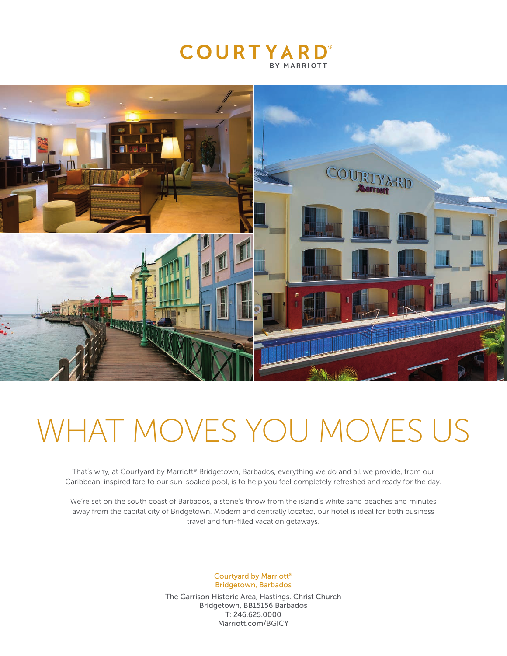



# WHAT MOVES YOU MOVES US

That's why, at Courtyard by Marriott® Bridgetown, Barbados, everything we do and all we provide, from our Caribbean-inspired fare to our sun-soaked pool, is to help you feel completely refreshed and ready for the day.

We're set on the south coast of Barbados, a stone's throw from the island's white sand beaches and minutes away from the capital city of Bridgetown. Modern and centrally located, our hotel is ideal for both business travel and fun-filled vacation getaways.

> Courtyard by Marriott® Bridgetown, Barbados

The Garrison Historic Area, Hastings. Christ Church Bridgetown, BB15156 Barbados T: 246.625.0000 Marriott.com/BGICY